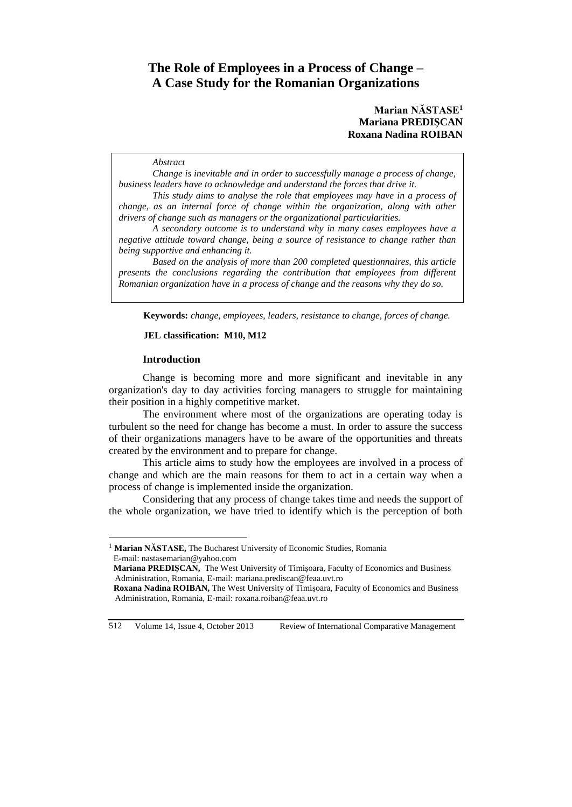# **The Role of Employees in a Process of Change – A Case Study for the Romanian Organizations**

## **Marian NĂSTASE<sup>1</sup> Mariana PREDIŞCAN Roxana Nadina ROIBAN**

#### *Abstract*

*Change is inevitable and in order to successfully manage a process of change, business leaders have to acknowledge and understand the forces that drive it.* 

*This study aims to analyse the role that employees may have in a process of change, as an internal force of change within the organization, along with other drivers of change such as managers or the organizational particularities.* 

*A secondary outcome is to understand why in many cases employees have a negative attitude toward change, being a source of resistance to change rather than being supportive and enhancing it.*

*Based on the analysis of more than 200 completed questionnaires, this article presents the conclusions regarding the contribution that employees from different Romanian organization have in a process of change and the reasons why they do so.*

**Keywords:** *change, employees, leaders, resistance to change, forces of change.*

### **JEL classification: M10, M12**

#### **Introduction**

 $\overline{a}$ 

Change is becoming more and more significant and inevitable in any organization's day to day activities forcing managers to struggle for maintaining their position in a highly competitive market.

The environment where most of the organizations are operating today is turbulent so the need for change has become a must. In order to assure the success of their organizations managers have to be aware of the opportunities and threats created by the environment and to prepare for change.

This article aims to study how the employees are involved in a process of change and which are the main reasons for them to act in a certain way when a process of change is implemented inside the organization.

Considering that any process of change takes time and needs the support of the whole organization, we have tried to identify which is the perception of both

512 Volume 14, Issue 4, October 2013 Review of International Comparative Management

<sup>&</sup>lt;sup>1</sup> Marian NĂSTASE, The Bucharest University of Economic Studies, Romania E-mail: nastasemarian@yahoo.com

**Mariana PREDIŞCAN,** The West University of Timişoara, Faculty of Economics and Business Administration, Romania, E-mail: mariana.prediscan@feaa.uvt.ro

**Roxana Nadina ROIBAN,** The West University of Timişoara, Faculty of Economics and Business Administration, Romania, E-mail: roxana.roiban@feaa.uvt.ro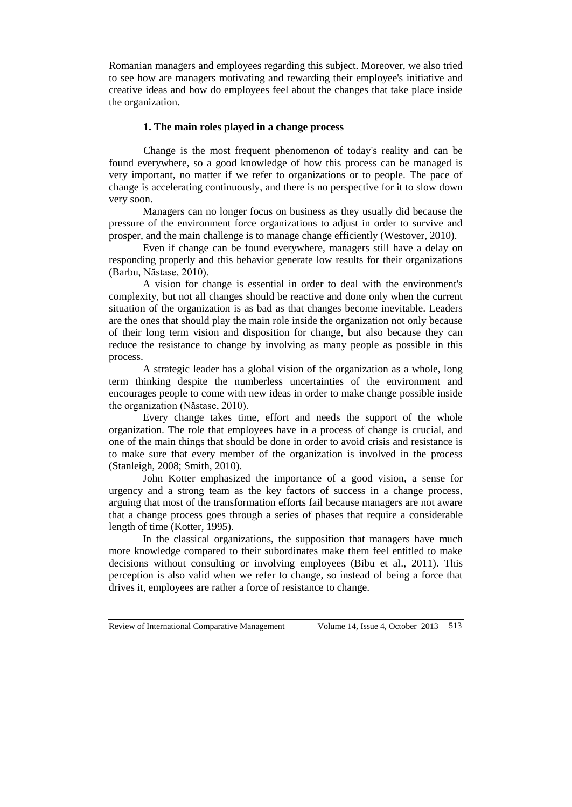Romanian managers and employees regarding this subject. Moreover, we also tried to see how are managers motivating and rewarding their employee's initiative and creative ideas and how do employees feel about the changes that take place inside the organization.

### **1. The main roles played in a change process**

Change is the most frequent phenomenon of today's reality and can be found everywhere, so a good knowledge of how this process can be managed is very important, no matter if we refer to organizations or to people. The pace of change is accelerating continuously, and there is no perspective for it to slow down very soon.

Managers can no longer focus on business as they usually did because the pressure of the environment force organizations to adjust in order to survive and prosper, and the main challenge is to manage change efficiently (Westover, 2010).

Even if change can be found everywhere, managers still have a delay on responding properly and this behavior generate low results for their organizations (Barbu, Năstase, 2010).

A vision for change is essential in order to deal with the environment's complexity, but not all changes should be reactive and done only when the current situation of the organization is as bad as that changes become inevitable. Leaders are the ones that should play the main role inside the organization not only because of their long term vision and disposition for change, but also because they can reduce the resistance to change by involving as many people as possible in this process.

A strategic leader has a global vision of the organization as a whole, long term thinking despite the numberless uncertainties of the environment and encourages people to come with new ideas in order to make change possible inside the organization (Năstase, 2010).

Every change takes time, effort and needs the support of the whole organization. The role that employees have in a process of change is crucial, and one of the main things that should be done in order to avoid crisis and resistance is to make sure that every member of the organization is involved in the process (Stanleigh, 2008; Smith, 2010).

John Kotter emphasized the importance of a good vision, a sense for urgency and a strong team as the key factors of success in a change process, arguing that most of the transformation efforts fail because managers are not aware that a change process goes through a series of phases that require a considerable length of time (Kotter, 1995).

In the classical organizations, the supposition that managers have much more knowledge compared to their subordinates make them feel entitled to make decisions without consulting or involving employees (Bibu et al., 2011). This perception is also valid when we refer to change, so instead of being a force that drives it, employees are rather a force of resistance to change.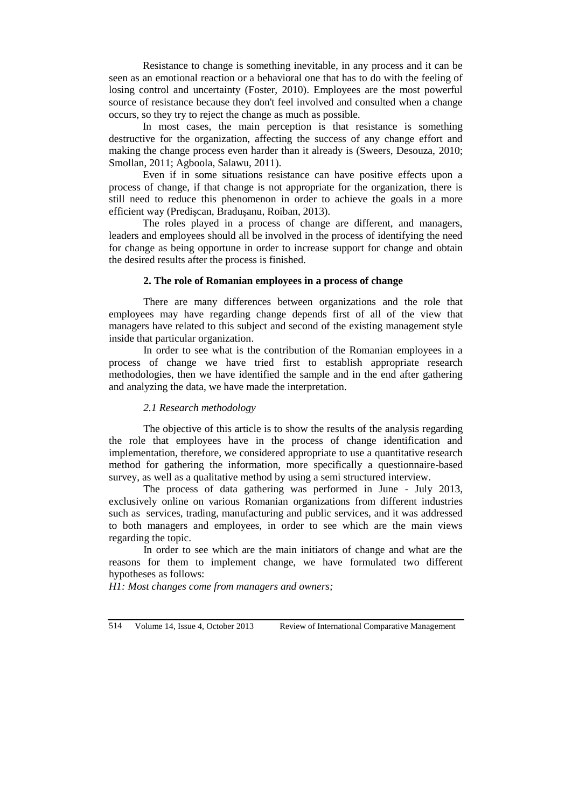Resistance to change is something inevitable, in any process and it can be seen as an emotional reaction or a behavioral one that has to do with the feeling of losing control and uncertainty (Foster, 2010). Employees are the most powerful source of resistance because they don't feel involved and consulted when a change occurs, so they try to reject the change as much as possible.

In most cases, the main perception is that resistance is something destructive for the organization, affecting the success of any change effort and making the change process even harder than it already is (Sweers, Desouza, 2010; Smollan, 2011; Agboola, Salawu, 2011).

Even if in some situations resistance can have positive effects upon a process of change, if that change is not appropriate for the organization, there is still need to reduce this phenomenon in order to achieve the goals in a more efficient way (Predişcan, Braduşanu, Roiban, 2013).

The roles played in a process of change are different, and managers, leaders and employees should all be involved in the process of identifying the need for change as being opportune in order to increase support for change and obtain the desired results after the process is finished.

### **2. The role of Romanian employees in a process of change**

There are many differences between organizations and the role that employees may have regarding change depends first of all of the view that managers have related to this subject and second of the existing management style inside that particular organization.

In order to see what is the contribution of the Romanian employees in a process of change we have tried first to establish appropriate research methodologies, then we have identified the sample and in the end after gathering and analyzing the data, we have made the interpretation.

#### *2.1 Research methodology*

The objective of this article is to show the results of the analysis regarding the role that employees have in the process of change identification and implementation, therefore, we considered appropriate to use a quantitative research method for gathering the information, more specifically a questionnaire-based survey, as well as a qualitative method by using a semi structured interview.

The process of data gathering was performed in June - July 2013, exclusively online on various Romanian organizations from different industries such as services, trading, manufacturing and public services, and it was addressed to both managers and employees, in order to see which are the main views regarding the topic.

In order to see which are the main initiators of change and what are the reasons for them to implement change, we have formulated two different hypotheses as follows:

*H1: Most changes come from managers and owners;*

514 Volume 14, Issue 4, October 2013 Review of International Comparative Management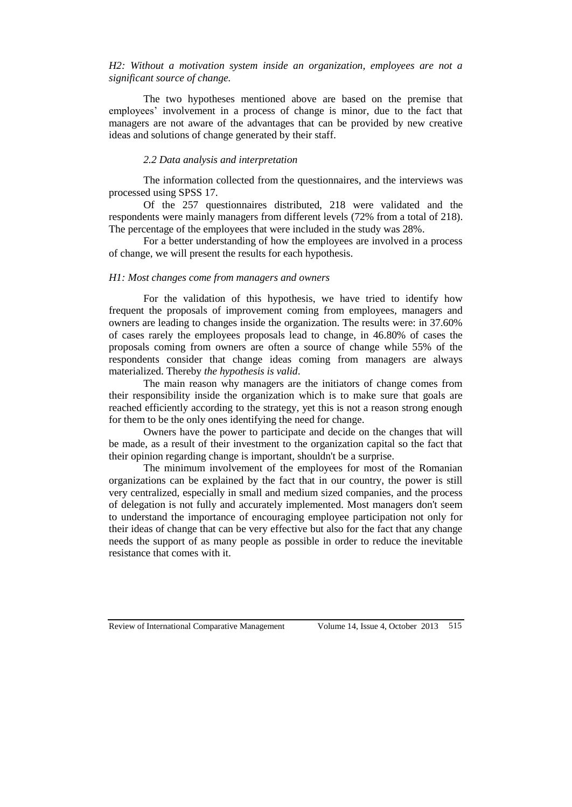*H2: Without a motivation system inside an organization, employees are not a significant source of change.*

The two hypotheses mentioned above are based on the premise that employees' involvement in a process of change is minor, due to the fact that managers are not aware of the advantages that can be provided by new creative ideas and solutions of change generated by their staff.

#### *2.2 Data analysis and interpretation*

The information collected from the questionnaires, and the interviews was processed using SPSS 17.

Of the 257 questionnaires distributed, 218 were validated and the respondents were mainly managers from different levels (72% from a total of 218). The percentage of the employees that were included in the study was 28%.

For a better understanding of how the employees are involved in a process of change, we will present the results for each hypothesis.

### *H1: Most changes come from managers and owners*

For the validation of this hypothesis, we have tried to identify how frequent the proposals of improvement coming from employees, managers and owners are leading to changes inside the organization. The results were: in 37.60% of cases rarely the employees proposals lead to change, in 46.80% of cases the proposals coming from owners are often a source of change while 55% of the respondents consider that change ideas coming from managers are always materialized. Thereby *the hypothesis is valid*.

The main reason why managers are the initiators of change comes from their responsibility inside the organization which is to make sure that goals are reached efficiently according to the strategy, yet this is not a reason strong enough for them to be the only ones identifying the need for change.

Owners have the power to participate and decide on the changes that will be made, as a result of their investment to the organization capital so the fact that their opinion regarding change is important, shouldn't be a surprise.

The minimum involvement of the employees for most of the Romanian organizations can be explained by the fact that in our country, the power is still very centralized, especially in small and medium sized companies, and the process of delegation is not fully and accurately implemented. Most managers don't seem to understand the importance of encouraging employee participation not only for their ideas of change that can be very effective but also for the fact that any change needs the support of as many people as possible in order to reduce the inevitable resistance that comes with it.

Review of International Comparative Management Volume 14, Issue 4, October 2013 515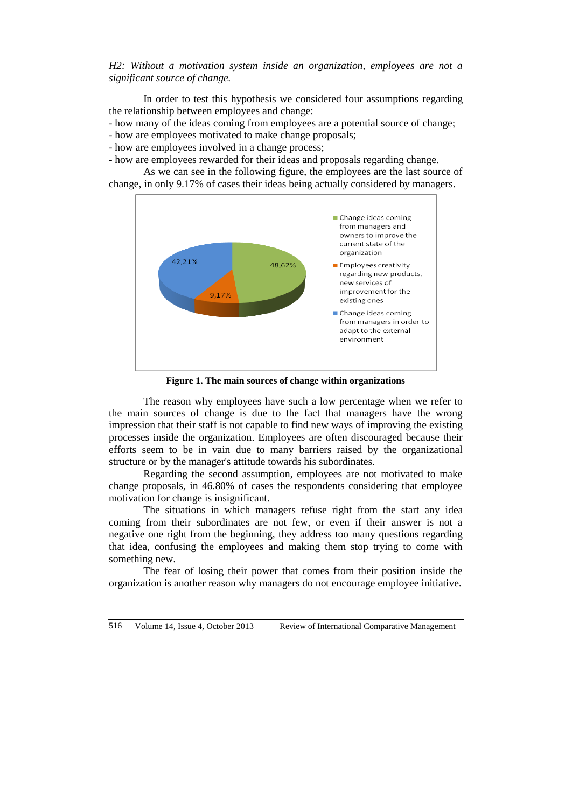*H2: Without a motivation system inside an organization, employees are not a significant source of change.*

In order to test this hypothesis we considered four assumptions regarding the relationship between employees and change:

- how many of the ideas coming from employees are a potential source of change;
- how are employees motivated to make change proposals;
- how are employees involved in a change process;
- how are employees rewarded for their ideas and proposals regarding change.

As we can see in the following figure, the employees are the last source of change, in only 9.17% of cases their ideas being actually considered by managers.



**Figure 1. The main sources of change within organizations**

The reason why employees have such a low percentage when we refer to the main sources of change is due to the fact that managers have the wrong impression that their staff is not capable to find new ways of improving the existing processes inside the organization. Employees are often discouraged because their efforts seem to be in vain due to many barriers raised by the organizational structure or by the manager's attitude towards his subordinates.

Regarding the second assumption, employees are not motivated to make change proposals, in 46.80% of cases the respondents considering that employee motivation for change is insignificant.

The situations in which managers refuse right from the start any idea coming from their subordinates are not few, or even if their answer is not a negative one right from the beginning, they address too many questions regarding that idea, confusing the employees and making them stop trying to come with something new.

The fear of losing their power that comes from their position inside the organization is another reason why managers do not encourage employee initiative.

516 Volume 14, Issue 4, October 2013 Review of International Comparative Management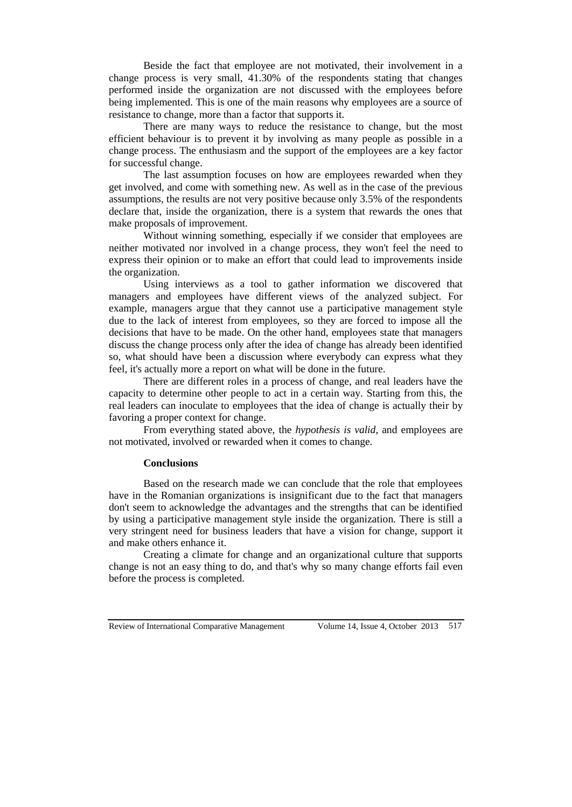Beside the fact that employee are not motivated, their involvement in a change process is very small, 41.30% of the respondents stating that changes performed inside the organization are not discussed with the employees before being implemented. This is one of the main reasons why employees are a source of resistance to change, more than a factor that supports it.

There are many ways to reduce the resistance to change, but the most efficient behaviour is to prevent it by involving as many people as possible in a change process. The enthusiasm and the support of the employees are a key factor for successful change.

The last assumption focuses on how are employees rewarded when they get involved, and come with something new. As well as in the case of the previous assumptions, the results are not very positive because only 3.5% of the respondents declare that, inside the organization, there is a system that rewards the ones that make proposals of improvement.

Without winning something, especially if we consider that employees are neither motivated nor involved in a change process, they won't feel the need to express their opinion or to make an effort that could lead to improvements inside the organization.

Using interviews as a tool to gather information we discovered that managers and employees have different views of the analyzed subject. For example, managers argue that they cannot use a participative management style due to the lack of interest from employees, so they are forced to impose all the decisions that have to be made. On the other hand, employees state that managers discuss the change process only after the idea of change has already been identified so, what should have been a discussion where everybody can express what they feel, it's actually more a report on what will be done in the future.

There are different roles in a process of change, and real leaders have the capacity to determine other people to act in a certain way. Starting from this, the real leaders can inoculate to employees that the idea of change is actually their by favoring a proper context for change.

From everything stated above, the *hypothesis is valid*, and employees are not motivated, involved or rewarded when it comes to change.

### **Conclusions**

Based on the research made we can conclude that the role that employees have in the Romanian organizations is insignificant due to the fact that managers don't seem to acknowledge the advantages and the strengths that can be identified by using a participative management style inside the organization. There is still a very stringent need for business leaders that have a vision for change, support it and make others enhance it.

Creating a climate for change and an organizational culture that supports change is not an easy thing to do, and that's why so many change efforts fail even before the process is completed.